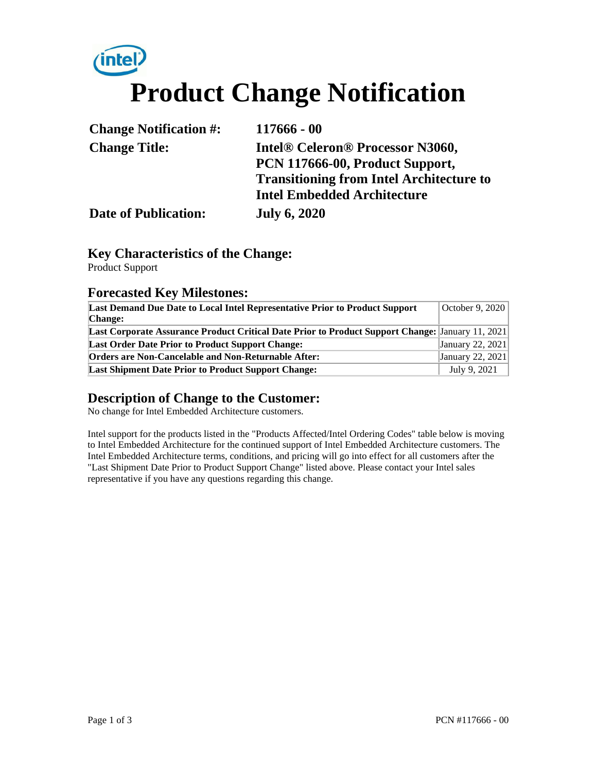# $(intel)$ **Product Change Notification**

| <b>Change Notification #:</b> | $117666 - 00$                                   |  |
|-------------------------------|-------------------------------------------------|--|
| <b>Change Title:</b>          | <b>Intel® Celeron® Processor N3060,</b>         |  |
|                               | PCN 117666-00, Product Support,                 |  |
|                               | <b>Transitioning from Intel Architecture to</b> |  |
|                               | <b>Intel Embedded Architecture</b>              |  |
| <b>Date of Publication:</b>   | <b>July 6, 2020</b>                             |  |

#### **Key Characteristics of the Change:**

Product Support

#### **Forecasted Key Milestones:**

| Last Demand Due Date to Local Intel Representative Prior to Product Support                      | October 9, 2020  |
|--------------------------------------------------------------------------------------------------|------------------|
| <b>Change:</b>                                                                                   |                  |
| Last Corporate Assurance Product Critical Date Prior to Product Support Change: January 11, 2021 |                  |
| <b>Last Order Date Prior to Product Support Change:</b>                                          | January 22, 2021 |
| <b>Orders are Non-Cancelable and Non-Returnable After:</b>                                       | January 22, 2021 |
| <b>Last Shipment Date Prior to Product Support Change:</b>                                       | July 9, 2021     |

## **Description of Change to the Customer:**

No change for Intel Embedded Architecture customers.

Intel support for the products listed in the "Products Affected/Intel Ordering Codes" table below is moving to Intel Embedded Architecture for the continued support of Intel Embedded Architecture customers. The Intel Embedded Architecture terms, conditions, and pricing will go into effect for all customers after the "Last Shipment Date Prior to Product Support Change" listed above. Please contact your Intel sales representative if you have any questions regarding this change.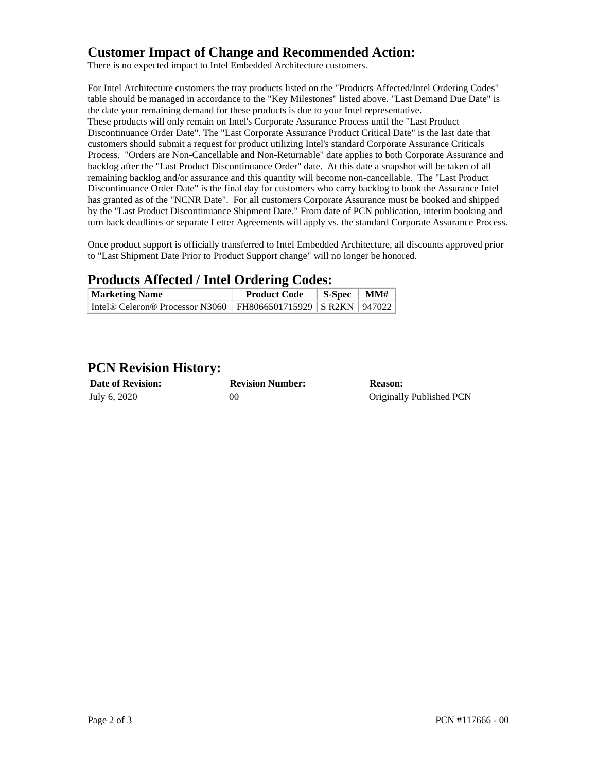### **Customer Impact of Change and Recommended Action:**

There is no expected impact to Intel Embedded Architecture customers.

For Intel Architecture customers the tray products listed on the "Products Affected/Intel Ordering Codes" table should be managed in accordance to the "Key Milestones" listed above. "Last Demand Due Date" is the date your remaining demand for these products is due to your Intel representative. These products will only remain on Intel's Corporate Assurance Process until the "Last Product Discontinuance Order Date". The "Last Corporate Assurance Product Critical Date" is the last date that customers should submit a request for product utilizing Intel's standard Corporate Assurance Criticals Process. "Orders are Non-Cancellable and Non-Returnable" date applies to both Corporate Assurance and backlog after the "Last Product Discontinuance Order" date. At this date a snapshot will be taken of all remaining backlog and/or assurance and this quantity will become non-cancellable. The "Last Product Discontinuance Order Date" is the final day for customers who carry backlog to book the Assurance Intel has granted as of the "NCNR Date". For all customers Corporate Assurance must be booked and shipped by the "Last Product Discontinuance Shipment Date." From date of PCN publication, interim booking and turn back deadlines or separate Letter Agreements will apply vs. the standard Corporate Assurance Process.

Once product support is officially transferred to Intel Embedded Architecture, all discounts approved prior to "Last Shipment Date Prior to Product Support change" will no longer be honored.

#### **Products Affected / Intel Ordering Codes:**

| <b>Marketing Name</b>                                              | <b>Product Code</b> | $\vert$ S-Spec $\vert$ MM# |  |
|--------------------------------------------------------------------|---------------------|----------------------------|--|
| Intel® Celeron® Processor N3060   FH8066501715929   SR2KN   947022 |                     |                            |  |

### **PCN Revision History:**

| <b>Date of Revision:</b> | <b>Revision Number:</b> | <b>Reason:</b>           |
|--------------------------|-------------------------|--------------------------|
| July 6, 2020             | 0C                      | Originally Published PCN |